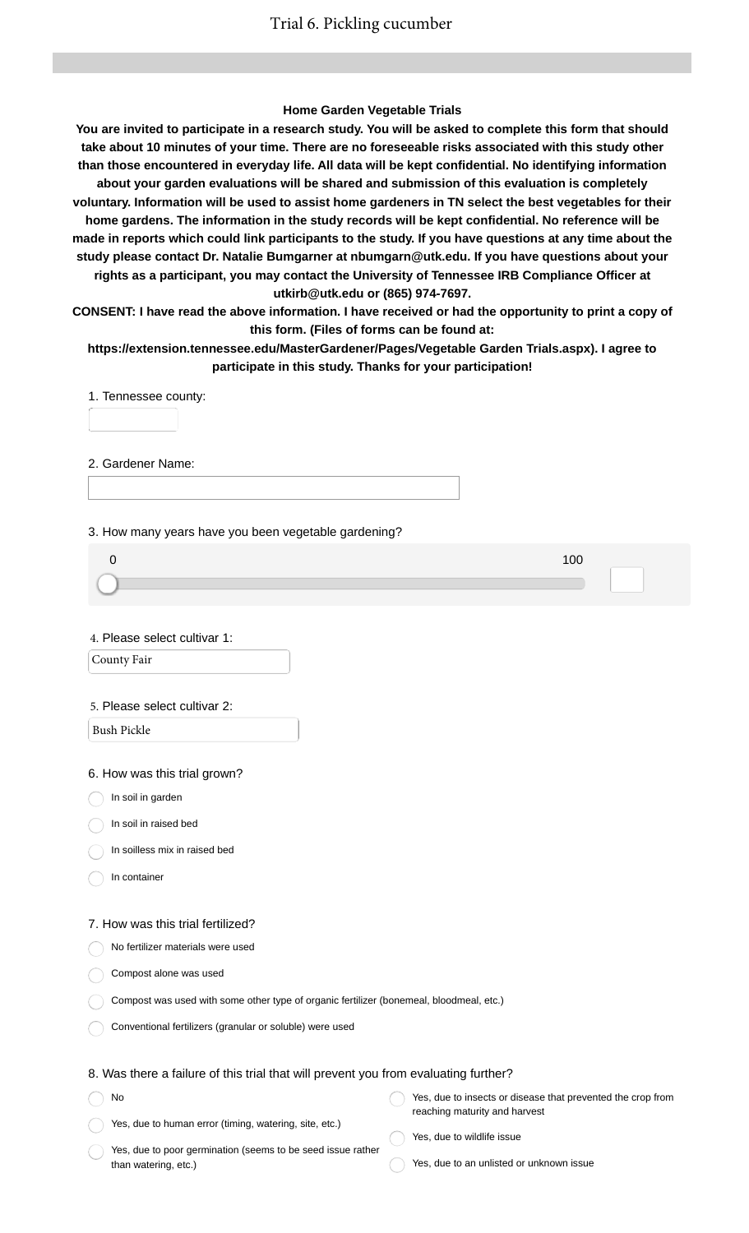## **Home Garden Vegetable Trials**

**You are invited to participate in a research study. You will be asked to complete this form that should take about 10 minutes of your time. There are no foreseeable risks associated with this study other than those encountered in everyday life. All data will be kept confidential. No identifying information about your garden evaluations will be shared and submission of this evaluation is completely voluntary. Information will be used to assist home gardeners in TN select the best vegetables for their home gardens. The information in the study records will be kept confidential. No reference will be made in reports which could link participants to the study. If you have questions at any time about the study please contact Dr. Natalie Bumgarner at nbumgarn@utk.edu. If you have questions about your rights as a participant, you may contact the University of Tennessee IRB Compliance Officer at utkirb@utk.edu or (865) 974-7697.**

**CONSENT: I have read the above information. I have received or had the opportunity to print a copy of this form. (Files of forms can be found at:**

**https://extension.tennessee.edu/MasterGardener/Pages/Vegetable Garden Trials.aspx). I agree to participate in this study. Thanks for your participation!**

1. Tennessee county:

2. Gardener Name:

3. How many years have you been vegetable gardening?

4. Please select cultivar 1:

County Fair

#### 5. Please select cultivar 2:

Bush Pickle

## 6. How was this trial grown?

In soil in garden

- In soil in raised bed
- In soilless mix in raised bed
- In container

No

#### 7. How was this trial fertilized?

No fertilizer materials were used

- Compost alone was used
- Compost was used with some other type of organic fertilizer (bonemeal, bloodmeal, etc.)
- Conventional fertilizers (granular or soluble) were used

## 8. Was there a failure of this trial that will prevent you from evaluating further?

| <b>No</b>                                              | Yes, due to insects or disease that prevented the crop from |
|--------------------------------------------------------|-------------------------------------------------------------|
|                                                        | reaching maturity and harvest                               |
| Yes, due to human error (timing, watering, site, etc.) |                                                             |

- Yes, due to poor germination (seems to be seed issue rather than watering, etc.)
- Yes, due to wildlife issue
- Yes, due to an unlisted or unknown issue